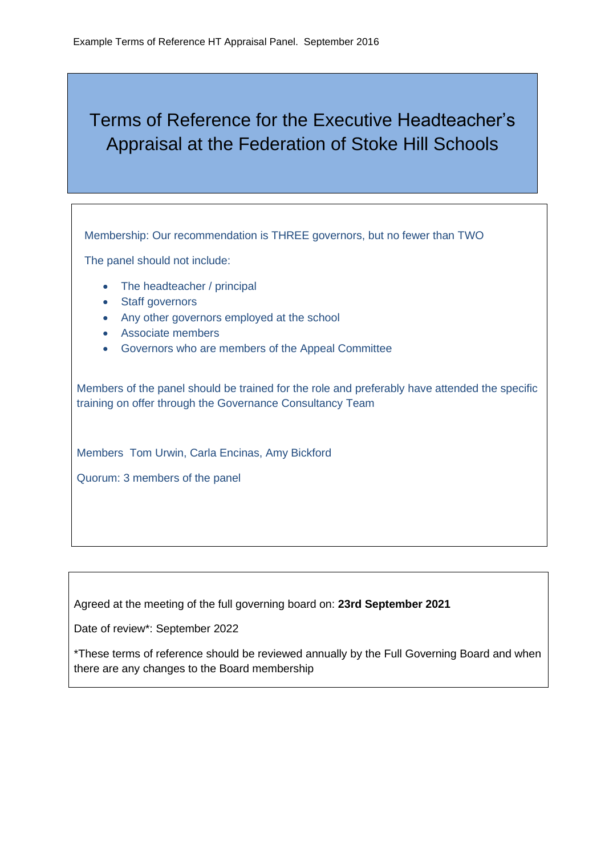## Terms of Reference for the Executive Headteacher's Appraisal at the Federation of Stoke Hill Schools

Membership: Our recommendation is THREE governors, but no fewer than TWO

The panel should not include:

- The headteacher / principal
- Staff governors
- Any other governors employed at the school
- Associate members
- Governors who are members of the Appeal Committee

Members of the panel should be trained for the role and preferably have attended the specific training on offer through the Governance Consultancy Team

Members Tom Urwin, Carla Encinas, Amy Bickford

Quorum: 3 members of the panel

Agreed at the meeting of the full governing board on: **23rd September 2021**

Date of review\*: September 2022

\*These terms of reference should be reviewed annually by the Full Governing Board and when there are any changes to the Board membership